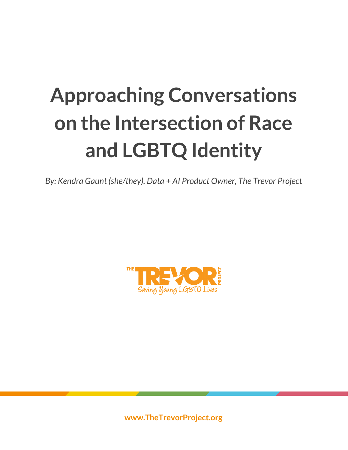## **Approaching Conversations on the Intersection of Race and LGBTQ Identity**

*By: Kendra Gaunt (she/they), Data + AI Product Owner, The Trevor Project*



**www.TheTrevorProject.org**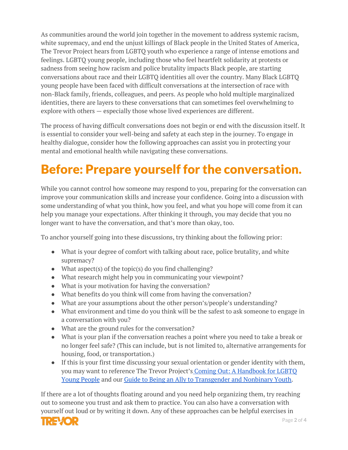As communities around the world join together in the movement to address systemic racism, white supremacy, and end the unjust killings of Black people in the United States of America, The Trevor Project hears from LGBTQ youth who experience a range of intense emotions and feelings. LGBTQ young people, including those who feel heartfelt solidarity at protests or sadness from seeing how racism and police brutality impacts Black people, are starting conversations about race and their LGBTQ identities all over the country. Many Black LGBTQ young people have been faced with difficult conversations at the intersection of race with non-Black family, friends, colleagues, and peers. As people who hold multiple marginalized identities, there are layers to these conversations that can sometimes feel overwhelming to explore with others — especially those whose lived experiences are different.

The process of having difficult conversations does not begin or end with the discussion itself. It is essential to consider your well-being and safety at each step in the journey. To engage in healthy dialogue, consider how the following approaches can assist you in protecting your mental and emotional health while navigating these conversations.

## Before: Prepare yourself for the conversation.

While you cannot control how someone may respond to you, preparing for the conversation can improve your communication skills and increase your confidence. Going into a discussion with some understanding of what you think, how you feel, and what you hope will come from it can help you manage your expectations. After thinking it through, you may decide that you no longer want to have the conversation, and that's more than okay, too.

To anchor yourself going into these discussions, try thinking about the following prior:

- What is your degree of comfort with talking about race, police brutality, and white supremacy?
- What aspect(s) of the topic(s) do you find challenging?
- What research might help you in communicating your viewpoint?
- What is your motivation for having the conversation?
- What benefits do you think will come from having the conversation?
- What are your assumptions about the other person's/people's understanding?
- What environment and time do you think will be the safest to ask someone to engage in a conversation with you?
- What are the ground rules for the conversation?
- What is your plan if the conversation reaches a point where you need to take a break or no longer feel safe? (This can include, but is not limited to, alternative arrangements for housing, food, or transportation.)
- If this is your first time discussing your sexual orientation or gender identity with them, you may want to reference The Trevor Project's Coming Out: A [Handbook](https://www.thetrevorproject.org/trvr_support_center/coming-out/) for LGBTO Young [People](https://www.thetrevorproject.org/trvr_support_center/coming-out/) and our Guide to Being an Ally to [Transgender](https://www.thetrevorproject.org/resources/trevor-support-center/a-guide-to-being-an-ally-to-transgender-and-nonbinary-youth/) and Nonbinary Youth.

If there are a lot of thoughts floating around and you need help organizing them, try reaching out to someone you trust and ask them to practice. You can also have a conversation with yourself out loud or by writing it down. Any of these approaches can be helpful exercises in

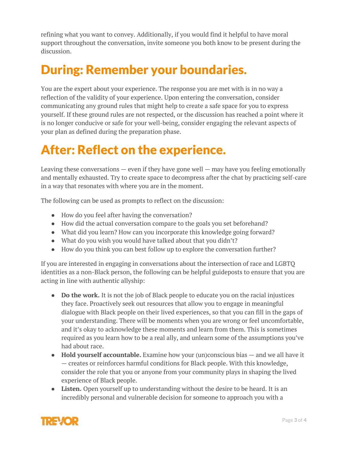refining what you want to convey. Additionally, if you would find it helpful to have moral support throughout the conversation, invite someone you both know to be present during the discussion.

## During: Remember your boundaries.

You are the expert about your experience. The response you are met with is in no way a reflection of the validity of your experience. Upon entering the conversation, consider communicating any ground rules that might help to create a safe space for you to express yourself. If these ground rules are not respected, or the discussion has reached a point where it is no longer conducive or safe for your well-being, consider engaging the relevant aspects of your plan as defined during the preparation phase.

## After: Reflect on the experience.

Leaving these conversations  $-$  even if they have gone well  $-$  may have you feeling emotionally and mentally exhausted. Try to create space to decompress after the chat by practicing self-care in a way that resonates with where you are in the moment.

The following can be used as prompts to reflect on the discussion:

- How do you feel after having the conversation?
- How did the actual conversation compare to the goals you set beforehand?
- What did you learn? How can you incorporate this knowledge going forward?
- What do you wish you would have talked about that you didn't?
- How do you think you can best follow up to explore the conversation further?

If you are interested in engaging in conversations about the intersection of race and LGBTQ identities as a non-Black person, the following can be helpful guideposts to ensure that you are acting in line with authentic allyship:

- **Do the work.** It is not the job of Black people to educate you on the racial injustices they face. Proactively seek out resources that allow you to engage in meaningful dialogue with Black people on their lived experiences, so that you can fill in the gaps of your understanding. There will be moments when you are wrong or feel uncomfortable, and it's okay to acknowledge these moments and learn from them. This is sometimes required as you learn how to be a real ally, and unlearn some of the assumptions you've had about race.
- **Hold yourself accountable.** Examine how your (un)conscious bias and we all have it — creates or reinforces harmful conditions for Black people. With this knowledge, consider the role that you or anyone from your community plays in shaping the lived experience of Black people.
- **Listen.** Open yourself up to understanding without the desire to be heard. It is an incredibly personal and vulnerable decision for someone to approach you with a